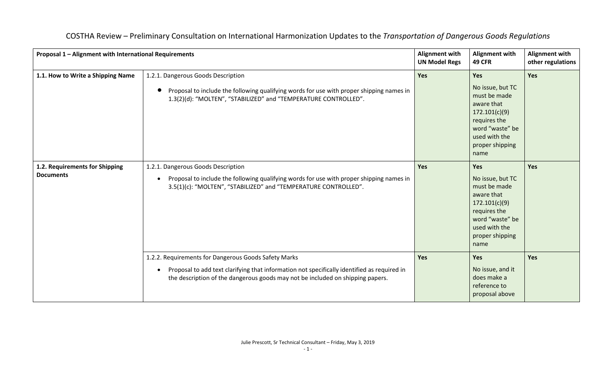| Proposal 1 - Alignment with International Requirements |                                                                                                                                                                                                                                       | Alignment with<br><b>UN Model Regs</b> | <b>Alignment with</b><br><b>49 CFR</b>                                                                                                                       | <b>Alignment with</b><br>other regulations |
|--------------------------------------------------------|---------------------------------------------------------------------------------------------------------------------------------------------------------------------------------------------------------------------------------------|----------------------------------------|--------------------------------------------------------------------------------------------------------------------------------------------------------------|--------------------------------------------|
| 1.1. How to Write a Shipping Name                      | 1.2.1. Dangerous Goods Description<br>Proposal to include the following qualifying words for use with proper shipping names in<br>1.3(2)(d): "MOLTEN", "STABILIZED" and "TEMPERATURE CONTROLLED".                                     | Yes                                    | <b>Yes</b><br>No issue, but TC<br>must be made<br>aware that<br>172.101(c)(9)<br>requires the<br>word "waste" be<br>used with the<br>proper shipping<br>name | <b>Yes</b>                                 |
| 1.2. Requirements for Shipping<br><b>Documents</b>     | 1.2.1. Dangerous Goods Description<br>Proposal to include the following qualifying words for use with proper shipping names in<br>3.5(1)(c): "MOLTEN", "STABILIZED" and "TEMPERATURE CONTROLLED".                                     | <b>Yes</b>                             | <b>Yes</b><br>No issue, but TC<br>must be made<br>aware that<br>172.101(c)(9)<br>requires the<br>word "waste" be<br>used with the<br>proper shipping<br>name | Yes                                        |
|                                                        | 1.2.2. Requirements for Dangerous Goods Safety Marks<br>Proposal to add text clarifying that information not specifically identified as required in<br>the description of the dangerous goods may not be included on shipping papers. | Yes                                    | <b>Yes</b><br>No issue, and it<br>does make a<br>reference to<br>proposal above                                                                              | Yes                                        |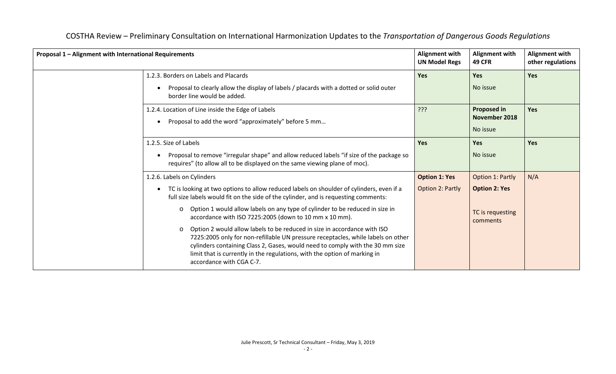| Proposal 1 - Alignment with International Requirements |                                                                                                                                                                                                                                                                                                                                                                   | <b>Alignment with</b><br><b>UN Model Regs</b> | <b>Alignment with</b><br><b>49 CFR</b> | <b>Alignment with</b><br>other regulations |
|--------------------------------------------------------|-------------------------------------------------------------------------------------------------------------------------------------------------------------------------------------------------------------------------------------------------------------------------------------------------------------------------------------------------------------------|-----------------------------------------------|----------------------------------------|--------------------------------------------|
|                                                        | 1.2.3. Borders on Labels and Placards                                                                                                                                                                                                                                                                                                                             | Yes                                           | <b>Yes</b>                             | Yes                                        |
|                                                        | Proposal to clearly allow the display of labels / placards with a dotted or solid outer<br>border line would be added.                                                                                                                                                                                                                                            |                                               | No issue                               |                                            |
|                                                        | 1.2.4. Location of Line inside the Edge of Labels                                                                                                                                                                                                                                                                                                                 | ַרְרְי                                        | <b>Proposed in</b>                     | <b>Yes</b>                                 |
|                                                        | Proposal to add the word "approximately" before 5 mm                                                                                                                                                                                                                                                                                                              |                                               | November 2018                          |                                            |
|                                                        |                                                                                                                                                                                                                                                                                                                                                                   |                                               | No issue                               |                                            |
|                                                        | 1.2.5. Size of Labels                                                                                                                                                                                                                                                                                                                                             | Yes                                           | Yes                                    | <b>Yes</b>                                 |
|                                                        | Proposal to remove "irregular shape" and allow reduced labels "if size of the package so<br>requires" (to allow all to be displayed on the same viewing plane of moc).                                                                                                                                                                                            |                                               | No issue                               |                                            |
|                                                        | 1.2.6. Labels on Cylinders                                                                                                                                                                                                                                                                                                                                        | <b>Option 1: Yes</b>                          | Option 1: Partly                       | N/A                                        |
|                                                        | TC is looking at two options to allow reduced labels on shoulder of cylinders, even if a<br>$\bullet$<br>full size labels would fit on the side of the cylinder, and is requesting comments:                                                                                                                                                                      | Option 2: Partly                              | <b>Option 2: Yes</b>                   |                                            |
|                                                        | Option 1 would allow labels on any type of cylinder to be reduced in size in<br>$\circ$<br>accordance with ISO 7225:2005 (down to 10 mm x 10 mm).                                                                                                                                                                                                                 |                                               | TC is requesting<br>comments           |                                            |
|                                                        | Option 2 would allow labels to be reduced in size in accordance with ISO<br>$\circ$<br>7225:2005 only for non-refillable UN pressure receptacles, while labels on other<br>cylinders containing Class 2, Gases, would need to comply with the 30 mm size<br>limit that is currently in the regulations, with the option of marking in<br>accordance with CGA C-7. |                                               |                                        |                                            |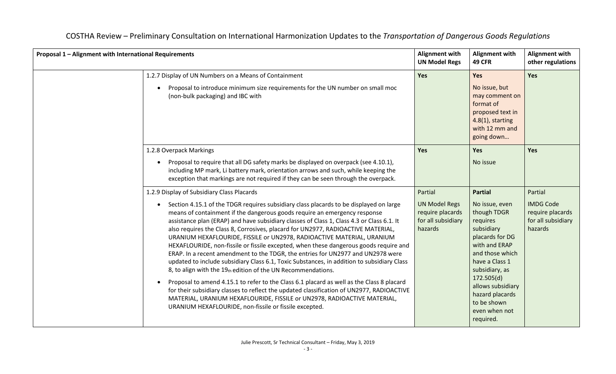| Proposal 1 - Alignment with International Requirements |                                                                                                                                                                                                                                                                                                                                                                                                                                                                                                                                                                                                                                                                                                                                                                                                                                                                                                                                                                                                                                                                                                                                                                     | <b>Alignment with</b><br><b>UN Model Regs</b>                                        | <b>Alignment with</b><br><b>49 CFR</b>                                                                                                                                                                                                                                  | <b>Alignment with</b><br>other regulations                                       |
|--------------------------------------------------------|---------------------------------------------------------------------------------------------------------------------------------------------------------------------------------------------------------------------------------------------------------------------------------------------------------------------------------------------------------------------------------------------------------------------------------------------------------------------------------------------------------------------------------------------------------------------------------------------------------------------------------------------------------------------------------------------------------------------------------------------------------------------------------------------------------------------------------------------------------------------------------------------------------------------------------------------------------------------------------------------------------------------------------------------------------------------------------------------------------------------------------------------------------------------|--------------------------------------------------------------------------------------|-------------------------------------------------------------------------------------------------------------------------------------------------------------------------------------------------------------------------------------------------------------------------|----------------------------------------------------------------------------------|
|                                                        | 1.2.7 Display of UN Numbers on a Means of Containment<br>Proposal to introduce minimum size requirements for the UN number on small moc<br>(non-bulk packaging) and IBC with                                                                                                                                                                                                                                                                                                                                                                                                                                                                                                                                                                                                                                                                                                                                                                                                                                                                                                                                                                                        | Yes                                                                                  | Yes<br>No issue, but<br>may comment on<br>format of<br>proposed text in<br>$4.8(1)$ , starting<br>with 12 mm and<br>going down                                                                                                                                          | Yes                                                                              |
|                                                        | 1.2.8 Overpack Markings<br>Proposal to require that all DG safety marks be displayed on overpack (see 4.10.1),<br>including MP mark, Li battery mark, orientation arrows and such, while keeping the<br>exception that markings are not required if they can be seen through the overpack.                                                                                                                                                                                                                                                                                                                                                                                                                                                                                                                                                                                                                                                                                                                                                                                                                                                                          | Yes                                                                                  | Yes<br>No issue                                                                                                                                                                                                                                                         | Yes                                                                              |
|                                                        | 1.2.9 Display of Subsidiary Class Placards<br>Section 4.15.1 of the TDGR requires subsidiary class placards to be displayed on large<br>means of containment if the dangerous goods require an emergency response<br>assistance plan (ERAP) and have subsidiary classes of Class 1, Class 4.3 or Class 6.1. It<br>also requires the Class 8, Corrosives, placard for UN2977, RADIOACTIVE MATERIAL,<br>URANIUM HEXAFLOURIDE, FISSILE or UN2978, RADIOACTIVE MATERIAL, URANIUM<br>HEXAFLOURIDE, non-fissile or fissile excepted, when these dangerous goods require and<br>ERAP. In a recent amendment to the TDGR, the entries for UN2977 and UN2978 were<br>updated to include subsidiary Class 6.1, Toxic Substances, in addition to subsidiary Class<br>8, to align with the 19th edition of the UN Recommendations.<br>Proposal to amend 4.15.1 to refer to the Class 6.1 placard as well as the Class 8 placard<br>$\bullet$<br>for their subsidiary classes to reflect the updated classification of UN2977, RADIOACTIVE<br>MATERIAL, URANIUM HEXAFLOURIDE, FISSILE or UN2978, RADIOACTIVE MATERIAL,<br>URANIUM HEXAFLOURIDE, non-fissile or fissile excepted. | Partial<br><b>UN Model Regs</b><br>require placards<br>for all subsidiary<br>hazards | <b>Partial</b><br>No issue, even<br>though TDGR<br>requires<br>subsidiary<br>placards for DG<br>with and ERAP<br>and those which<br>have a Class 1<br>subsidiary, as<br>172.505(d)<br>allows subsidiary<br>hazard placards<br>to be shown<br>even when not<br>required. | Partial<br><b>IMDG Code</b><br>require placards<br>for all subsidiary<br>hazards |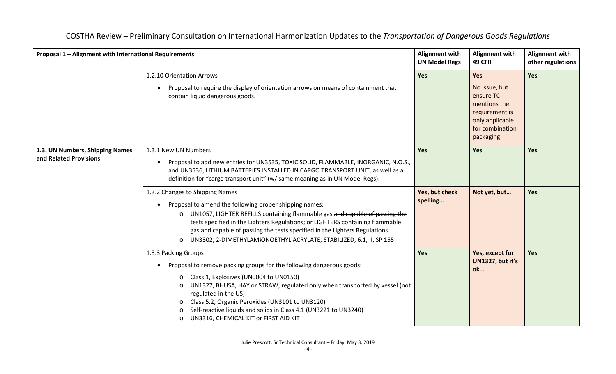| Proposal 1 - Alignment with International Requirements    |                                                                                                                                                                                                                                                                                                                                                                                                                                                                                                                                                                                                                                                                                                                     | <b>Alignment with</b><br><b>UN Model Regs</b> | <b>Alignment with</b><br><b>49 CFR</b>                                                                                 | <b>Alignment with</b><br>other regulations |
|-----------------------------------------------------------|---------------------------------------------------------------------------------------------------------------------------------------------------------------------------------------------------------------------------------------------------------------------------------------------------------------------------------------------------------------------------------------------------------------------------------------------------------------------------------------------------------------------------------------------------------------------------------------------------------------------------------------------------------------------------------------------------------------------|-----------------------------------------------|------------------------------------------------------------------------------------------------------------------------|--------------------------------------------|
|                                                           | 1.2.10 Orientation Arrows<br>Proposal to require the display of orientation arrows on means of containment that<br>contain liquid dangerous goods.                                                                                                                                                                                                                                                                                                                                                                                                                                                                                                                                                                  | Yes                                           | Yes<br>No issue, but<br>ensure TC<br>mentions the<br>requirement is<br>only applicable<br>for combination<br>packaging | Yes                                        |
| 1.3. UN Numbers, Shipping Names<br>and Related Provisions | 1.3.1 New UN Numbers<br>Proposal to add new entries for UN3535, TOXIC SOLID, FLAMMABLE, INORGANIC, N.O.S.,<br>and UN3536, LITHIUM BATTERIES INSTALLED IN CARGO TRANSPORT UNIT, as well as a<br>definition for "cargo transport unit" (w/ same meaning as in UN Model Regs).<br>1.3.2 Changes to Shipping Names<br>Proposal to amend the following proper shipping names:<br>UN1057, LIGHTER REFILLS containing flammable gas and capable of passing the<br>$\circ$<br>tests specified in the Lighters Regulations; or LIGHTERS containing flammable<br>gas and capable of passing the tests specified in the Lighters Regulations<br>UN3302, 2-DIMETHYLAMIONOETHYL ACRYLATE, STABILIZED, 6.1, II, SP 155<br>$\circ$ | <b>Yes</b><br>Yes, but check<br>spelling      | Yes<br>Not yet, but                                                                                                    | Yes<br>Yes                                 |
|                                                           | 1.3.3 Packing Groups<br>Proposal to remove packing groups for the following dangerous goods:<br>Class 1, Explosives (UN0004 to UN0150)<br>$\circ$<br>UN1327, BHUSA, HAY or STRAW, regulated only when transported by vessel (not<br>$\circ$<br>regulated in the US)<br>Class 5.2, Organic Peroxides (UN3101 to UN3120)<br>$\circ$<br>Self-reactive liquids and solids in Class 4.1 (UN3221 to UN3240)<br>UN3316, CHEMICAL KIT or FIRST AID KIT<br>O                                                                                                                                                                                                                                                                 | <b>Yes</b>                                    | Yes, except for<br>UN1327, but it's<br>ok                                                                              | <b>Yes</b>                                 |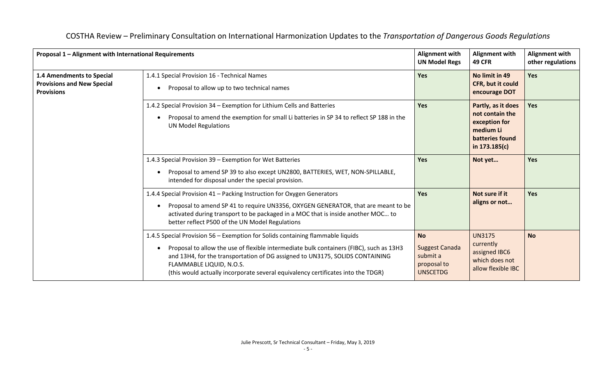|                                                                                     | <b>Alignment with</b><br>Proposal 1 - Alignment with International Requirements<br><b>UN Model Regs</b>                                                                                                                                                                                                                                                                   |                                                                                  | <b>Alignment with</b><br><b>49 CFR</b>                                                                  | <b>Alignment with</b><br>other regulations |
|-------------------------------------------------------------------------------------|---------------------------------------------------------------------------------------------------------------------------------------------------------------------------------------------------------------------------------------------------------------------------------------------------------------------------------------------------------------------------|----------------------------------------------------------------------------------|---------------------------------------------------------------------------------------------------------|--------------------------------------------|
| 1.4 Amendments to Special<br><b>Provisions and New Special</b><br><b>Provisions</b> | 1.4.1 Special Provision 16 - Technical Names<br>Proposal to allow up to two technical names                                                                                                                                                                                                                                                                               | Yes                                                                              | No limit in 49<br>CFR, but it could<br>encourage DOT                                                    | Yes                                        |
|                                                                                     | 1.4.2 Special Provision 34 – Exemption for Lithium Cells and Batteries<br>Proposal to amend the exemption for small Li batteries in SP 34 to reflect SP 188 in the<br><b>UN Model Regulations</b>                                                                                                                                                                         | <b>Yes</b>                                                                       | Partly, as it does<br>not contain the<br>exception for<br>medium Li<br>batteries found<br>in 173.185(c) | <b>Yes</b>                                 |
|                                                                                     | 1.4.3 Special Provision 39 - Exemption for Wet Batteries<br>Proposal to amend SP 39 to also except UN2800, BATTERIES, WET, NON-SPILLABLE,<br>intended for disposal under the special provision.                                                                                                                                                                           | Yes                                                                              | Not yet                                                                                                 | Yes                                        |
|                                                                                     | 1.4.4 Special Provision 41 - Packing Instruction for Oxygen Generators<br>Proposal to amend SP 41 to require UN3356, OXYGEN GENERATOR, that are meant to be<br>activated during transport to be packaged in a MOC that is inside another MOC to<br>better reflect P500 of the UN Model Regulations                                                                        | Yes                                                                              | Not sure if it<br>aligns or not                                                                         | Yes                                        |
|                                                                                     | 1.4.5 Special Provision 56 - Exemption for Solids containing flammable liquids<br>Proposal to allow the use of flexible intermediate bulk containers (FIBC), such as 13H3<br>and 13H4, for the transportation of DG assigned to UN3175, SOLIDS CONTAINING<br>FLAMMABLE LIQUID, N.O.S.<br>(this would actually incorporate several equivalency certificates into the TDGR) | <b>No</b><br><b>Suggest Canada</b><br>submit a<br>proposal to<br><b>UNSCETDG</b> | <b>UN3175</b><br>currently<br>assigned IBC6<br>which does not<br>allow flexible IBC                     | <b>No</b>                                  |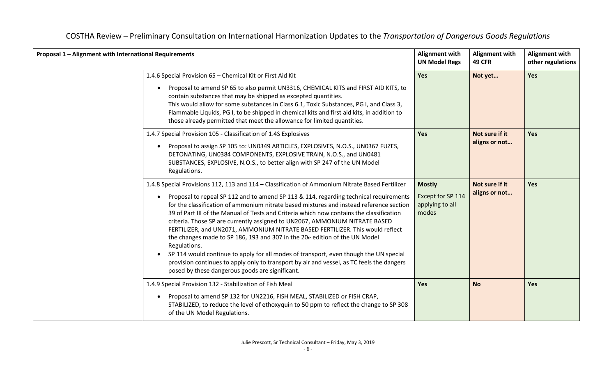| Proposal 1 - Alignment with International Requirements |                                                                                                                                                                                                                                                                                                                                                                                                                                                                                                                                                                                                                                                                                                                                                                                                                                                                                         | <b>Alignment with</b><br><b>UN Model Regs</b>                  | <b>Alignment with</b><br><b>49 CFR</b> | <b>Alignment with</b><br>other regulations |
|--------------------------------------------------------|-----------------------------------------------------------------------------------------------------------------------------------------------------------------------------------------------------------------------------------------------------------------------------------------------------------------------------------------------------------------------------------------------------------------------------------------------------------------------------------------------------------------------------------------------------------------------------------------------------------------------------------------------------------------------------------------------------------------------------------------------------------------------------------------------------------------------------------------------------------------------------------------|----------------------------------------------------------------|----------------------------------------|--------------------------------------------|
|                                                        | 1.4.6 Special Provision 65 - Chemical Kit or First Aid Kit<br>Proposal to amend SP 65 to also permit UN3316, CHEMICAL KITS and FIRST AID KITS, to<br>contain substances that may be shipped as excepted quantities.<br>This would allow for some substances in Class 6.1, Toxic Substances, PG I, and Class 3,<br>Flammable Liquids, PG I, to be shipped in chemical kits and first aid kits, in addition to<br>those already permitted that meet the allowance for limited quantities.                                                                                                                                                                                                                                                                                                                                                                                                 | Yes                                                            | Not yet                                | Yes                                        |
|                                                        | 1.4.7 Special Provision 105 - Classification of 1.4S Explosives<br>Proposal to assign SP 105 to: UN0349 ARTICLES, EXPLOSIVES, N.O.S., UN0367 FUZES,<br>DETONATING, UN0384 COMPONENTS, EXPLOSIVE TRAIN, N.O.S., and UN0481<br>SUBSTANCES, EXPLOSIVE, N.O.S., to better align with SP 247 of the UN Model<br>Regulations.                                                                                                                                                                                                                                                                                                                                                                                                                                                                                                                                                                 | Yes                                                            | Not sure if it<br>aligns or not        | Yes                                        |
|                                                        | 1.4.8 Special Provisions 112, 113 and 114 - Classification of Ammonium Nitrate Based Fertilizer<br>Proposal to repeal SP 112 and to amend SP 113 & 114, regarding technical requirements<br>for the classification of ammonium nitrate based mixtures and instead reference section<br>39 of Part III of the Manual of Tests and Criteria which now contains the classification<br>criteria. Those SP are currently assigned to UN2067, AMMONIUM NITRATE BASED<br>FERTILIZER, and UN2071, AMMONIUM NITRATE BASED FERTILIZER. This would reflect<br>the changes made to SP 186, 193 and 307 in the 20th edition of the UN Model<br>Regulations.<br>SP 114 would continue to apply for all modes of transport, even though the UN special<br>provision continues to apply only to transport by air and vessel, as TC feels the dangers<br>posed by these dangerous goods are significant. | <b>Mostly</b><br>Except for SP 114<br>applying to all<br>modes | Not sure if it<br>aligns or not        | <b>Yes</b>                                 |
|                                                        | 1.4.9 Special Provision 132 - Stabilization of Fish Meal<br>Proposal to amend SP 132 for UN2216, FISH MEAL, STABILIZED or FISH CRAP,<br>$\bullet$<br>STABILIZED, to reduce the level of ethoxyquin to 50 ppm to reflect the change to SP 308<br>of the UN Model Regulations.                                                                                                                                                                                                                                                                                                                                                                                                                                                                                                                                                                                                            | Yes                                                            | <b>No</b>                              | <b>Yes</b>                                 |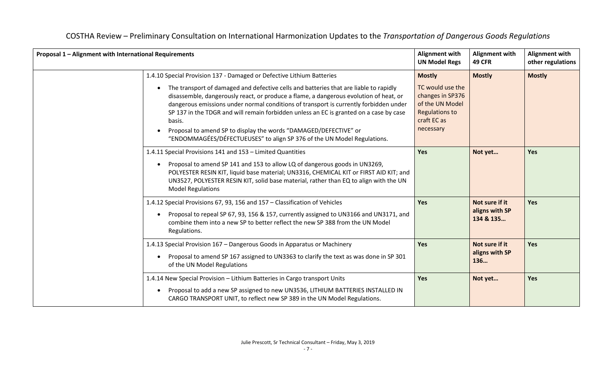| Proposal 1 - Alignment with International Requirements                                                                                                                                                                                                                                                                                                                                                                                                                                                                                                                                                           | <b>Alignment with</b><br><b>UN Model Regs</b>                                                                                 | <b>Alignment with</b><br><b>49 CFR</b>        | <b>Alignment with</b><br>other regulations |
|------------------------------------------------------------------------------------------------------------------------------------------------------------------------------------------------------------------------------------------------------------------------------------------------------------------------------------------------------------------------------------------------------------------------------------------------------------------------------------------------------------------------------------------------------------------------------------------------------------------|-------------------------------------------------------------------------------------------------------------------------------|-----------------------------------------------|--------------------------------------------|
| 1.4.10 Special Provision 137 - Damaged or Defective Lithium Batteries<br>The transport of damaged and defective cells and batteries that are liable to rapidly<br>$\bullet$<br>disassemble, dangerously react, or produce a flame, a dangerous evolution of heat, or<br>dangerous emissions under normal conditions of transport is currently forbidden under<br>SP 137 in the TDGR and will remain forbidden unless an EC is granted on a case by case<br>basis.<br>Proposal to amend SP to display the words "DAMAGED/DEFECTIVE" or<br>"ENDOMMAGÉES/DÉFECTUEUSES" to align SP 376 of the UN Model Regulations. | <b>Mostly</b><br>TC would use the<br>changes in SP376<br>of the UN Model<br><b>Regulations to</b><br>craft EC as<br>necessary | <b>Mostly</b>                                 | <b>Mostly</b>                              |
| 1.4.11 Special Provisions 141 and 153 - Limited Quantities<br>Proposal to amend SP 141 and 153 to allow LQ of dangerous goods in UN3269,<br>POLYESTER RESIN KIT, liquid base material; UN3316, CHEMICAL KIT or FIRST AID KIT; and<br>UN3527, POLYESTER RESIN KIT, solid base material, rather than EQ to align with the UN<br><b>Model Regulations</b>                                                                                                                                                                                                                                                           | Yes                                                                                                                           | Not yet                                       | Yes                                        |
| 1.4.12 Special Provisions 67, 93, 156 and 157 - Classification of Vehicles<br>Proposal to repeal SP 67, 93, 156 & 157, currently assigned to UN3166 and UN3171, and<br>combine them into a new SP to better reflect the new SP 388 from the UN Model<br>Regulations.                                                                                                                                                                                                                                                                                                                                             | <b>Yes</b>                                                                                                                    | Not sure if it<br>aligns with SP<br>134 & 135 | Yes                                        |
| 1.4.13 Special Provision 167 - Dangerous Goods in Apparatus or Machinery<br>Proposal to amend SP 167 assigned to UN3363 to clarify the text as was done in SP 301<br>of the UN Model Regulations                                                                                                                                                                                                                                                                                                                                                                                                                 | Yes                                                                                                                           | Not sure if it<br>aligns with SP<br>136       | Yes                                        |
| 1.4.14 New Special Provision - Lithium Batteries in Cargo transport Units<br>Proposal to add a new SP assigned to new UN3536, LITHIUM BATTERIES INSTALLED IN<br>CARGO TRANSPORT UNIT, to reflect new SP 389 in the UN Model Regulations.                                                                                                                                                                                                                                                                                                                                                                         | <b>Yes</b>                                                                                                                    | Not yet                                       | Yes                                        |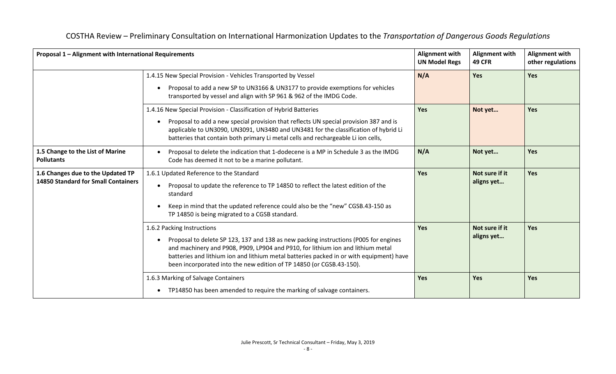|                                                                                 | <b>Alignment with</b><br>Proposal 1 - Alignment with International Requirements<br><b>UN Model Regs</b>                                                                                                                                                                                                                                                                  |            | <b>Alignment with</b><br><b>49 CFR</b> | <b>Alignment with</b><br>other regulations |
|---------------------------------------------------------------------------------|--------------------------------------------------------------------------------------------------------------------------------------------------------------------------------------------------------------------------------------------------------------------------------------------------------------------------------------------------------------------------|------------|----------------------------------------|--------------------------------------------|
|                                                                                 | 1.4.15 New Special Provision - Vehicles Transported by Vessel<br>Proposal to add a new SP to UN3166 & UN3177 to provide exemptions for vehicles<br>transported by vessel and align with SP 961 & 962 of the IMDG Code.                                                                                                                                                   | N/A        | Yes                                    | Yes                                        |
|                                                                                 | 1.4.16 New Special Provision - Classification of Hybrid Batteries<br>Proposal to add a new special provision that reflects UN special provision 387 and is<br>applicable to UN3090, UN3091, UN3480 and UN3481 for the classification of hybrid Li<br>batteries that contain both primary Li metal cells and rechargeable Li ion cells,                                   | <b>Yes</b> | Not yet                                | Yes                                        |
| 1.5 Change to the List of Marine<br><b>Pollutants</b>                           | Proposal to delete the indication that 1-dodecene is a MP in Schedule 3 as the IMDG<br>Code has deemed it not to be a marine pollutant.                                                                                                                                                                                                                                  | N/A        | Not yet                                | <b>Yes</b>                                 |
| 1.6 Changes due to the Updated TP<br><b>14850 Standard for Small Containers</b> | 1.6.1 Updated Reference to the Standard<br>Proposal to update the reference to TP 14850 to reflect the latest edition of the<br>standard<br>Keep in mind that the updated reference could also be the "new" CGSB.43-150 as<br>TP 14850 is being migrated to a CGSB standard.                                                                                             | Yes        | Not sure if it<br>aligns yet           | <b>Yes</b>                                 |
|                                                                                 | 1.6.2 Packing Instructions<br>Proposal to delete SP 123, 137 and 138 as new packing instructions (P005 for engines<br>and machinery and P908, P909, LP904 and P910, for lithium ion and lithium metal<br>batteries and lithium ion and lithium metal batteries packed in or with equipment) have<br>been incorporated into the new edition of TP 14850 (or CGSB.43-150). | Yes        | Not sure if it<br>aligns yet           | Yes                                        |
|                                                                                 | 1.6.3 Marking of Salvage Containers<br>TP14850 has been amended to require the marking of salvage containers.                                                                                                                                                                                                                                                            | <b>Yes</b> | Yes                                    | Yes                                        |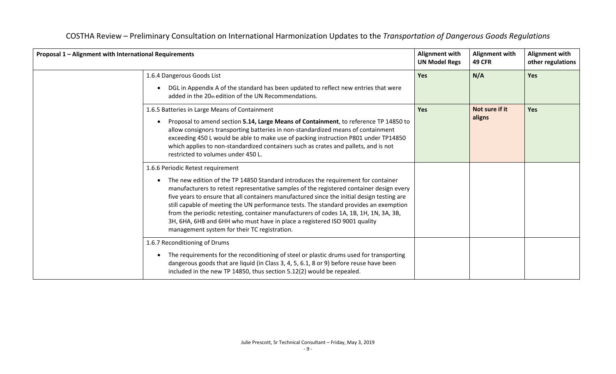| Proposal 1 - Alignment with International Requirements |                                                                                                                                                                                                                                                                                                                                                                                                                                                                                                                                                                                           | <b>Alignment with</b><br><b>UN Model Regs</b> | <b>Alignment with</b><br><b>49 CFR</b> | <b>Alignment with</b><br>other regulations |
|--------------------------------------------------------|-------------------------------------------------------------------------------------------------------------------------------------------------------------------------------------------------------------------------------------------------------------------------------------------------------------------------------------------------------------------------------------------------------------------------------------------------------------------------------------------------------------------------------------------------------------------------------------------|-----------------------------------------------|----------------------------------------|--------------------------------------------|
|                                                        | 1.6.4 Dangerous Goods List                                                                                                                                                                                                                                                                                                                                                                                                                                                                                                                                                                | <b>Yes</b>                                    | N/A                                    | <b>Yes</b>                                 |
|                                                        | DGL in Appendix A of the standard has been updated to reflect new entries that were<br>added in the 20th edition of the UN Recommendations.                                                                                                                                                                                                                                                                                                                                                                                                                                               |                                               |                                        |                                            |
|                                                        | 1.6.5 Batteries in Large Means of Containment                                                                                                                                                                                                                                                                                                                                                                                                                                                                                                                                             | Yes                                           | Not sure if it                         | <b>Yes</b>                                 |
|                                                        | Proposal to amend section 5.14, Large Means of Containment, to reference TP 14850 to<br>allow consignors transporting batteries in non-standardized means of containment<br>exceeding 450 L would be able to make use of packing instruction P801 under TP14850<br>which applies to non-standardized containers such as crates and pallets, and is not<br>restricted to volumes under 450 L.                                                                                                                                                                                              |                                               | aligns                                 |                                            |
|                                                        | 1.6.6 Periodic Retest requirement                                                                                                                                                                                                                                                                                                                                                                                                                                                                                                                                                         |                                               |                                        |                                            |
|                                                        | The new edition of the TP 14850 Standard introduces the requirement for container<br>manufacturers to retest representative samples of the registered container design every<br>five years to ensure that all containers manufactured since the initial design testing are<br>still capable of meeting the UN performance tests. The standard provides an exemption<br>from the periodic retesting, container manufacturers of codes 1A, 1B, 1H, 1N, 3A, 3B,<br>3H, 6HA, 6HB and 6HH who must have in place a registered ISO 9001 quality<br>management system for their TC registration. |                                               |                                        |                                            |
|                                                        | 1.6.7 Reconditioning of Drums                                                                                                                                                                                                                                                                                                                                                                                                                                                                                                                                                             |                                               |                                        |                                            |
|                                                        | The requirements for the reconditioning of steel or plastic drums used for transporting<br>dangerous goods that are liquid (in Class 3, 4, 5, 6.1, 8 or 9) before reuse have been<br>included in the new TP 14850, thus section 5.12(2) would be repealed.                                                                                                                                                                                                                                                                                                                                |                                               |                                        |                                            |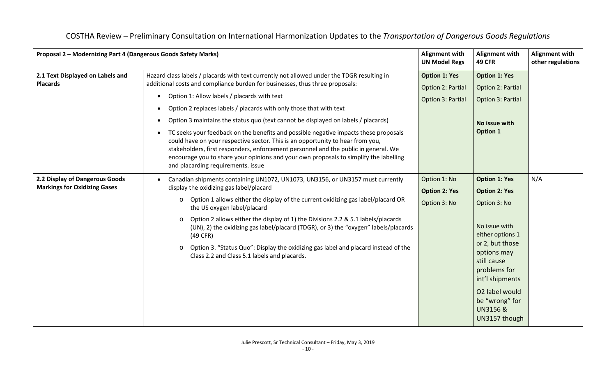| Proposal 2 - Modernizing Part 4 (Dangerous Goods Safety Marks)        |                                                                                                                                                                                                                                                                                                                                                                                                                                                                                                                                                                                                                                                                                                                                                                                                                                          | <b>Alignment with</b><br><b>UN Model Regs</b>                  | <b>Alignment with</b><br><b>49 CFR</b>                                                                                                                                                                                                                            | <b>Alignment with</b><br>other regulations |
|-----------------------------------------------------------------------|------------------------------------------------------------------------------------------------------------------------------------------------------------------------------------------------------------------------------------------------------------------------------------------------------------------------------------------------------------------------------------------------------------------------------------------------------------------------------------------------------------------------------------------------------------------------------------------------------------------------------------------------------------------------------------------------------------------------------------------------------------------------------------------------------------------------------------------|----------------------------------------------------------------|-------------------------------------------------------------------------------------------------------------------------------------------------------------------------------------------------------------------------------------------------------------------|--------------------------------------------|
| 2.1 Text Displayed on Labels and<br><b>Placards</b>                   | Hazard class labels / placards with text currently not allowed under the TDGR resulting in<br>additional costs and compliance burden for businesses, thus three proposals:<br>Option 1: Allow labels / placards with text<br>$\bullet$<br>Option 2 replaces labels / placards with only those that with text<br>$\bullet$<br>Option 3 maintains the status quo (text cannot be displayed on labels / placards)<br>$\bullet$<br>TC seeks your feedback on the benefits and possible negative impacts these proposals<br>$\bullet$<br>could have on your respective sector. This is an opportunity to hear from you,<br>stakeholders, first responders, enforcement personnel and the public in general. We<br>encourage you to share your opinions and your own proposals to simplify the labelling<br>and placarding requirements. issue | <b>Option 1: Yes</b><br>Option 2: Partial<br>Option 3: Partial | <b>Option 1: Yes</b><br>Option 2: Partial<br>Option 3: Partial<br>No issue with<br><b>Option 1</b>                                                                                                                                                                |                                            |
| 2.2 Display of Dangerous Goods<br><b>Markings for Oxidizing Gases</b> | Canadian shipments containing UN1072, UN1073, UN3156, or UN3157 must currently<br>display the oxidizing gas label/placard<br>Option 1 allows either the display of the current oxidizing gas label/placard OR<br>$\circ$<br>the US oxygen label/placard<br>Option 2 allows either the display of 1) the Divisions 2.2 & 5.1 labels/placards<br>$\circ$<br>(UN), 2) the oxidizing gas label/placard (TDGR), or 3) the "oxygen" labels/placards<br>$(49$ CFR)<br>Option 3. "Status Quo": Display the oxidizing gas label and placard instead of the<br>$\circ$<br>Class 2.2 and Class 5.1 labels and placards.                                                                                                                                                                                                                             | Option 1: No<br><b>Option 2: Yes</b><br>Option 3: No           | <b>Option 1: Yes</b><br><b>Option 2: Yes</b><br>Option 3: No<br>No issue with<br>either options 1<br>or 2, but those<br>options may<br>still cause<br>problems for<br>int'l shipments<br>O2 label would<br>be "wrong" for<br><b>UN3156 &amp;</b><br>UN3157 though | N/A                                        |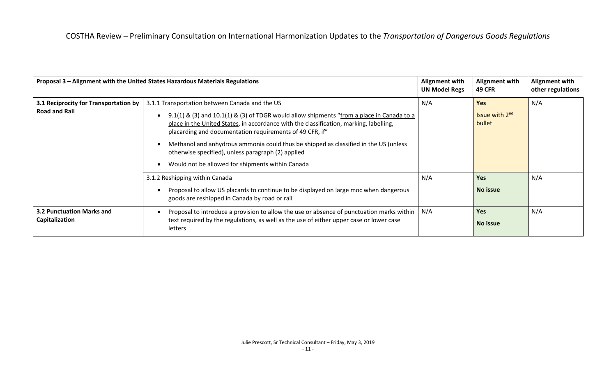| Proposal 3 - Alignment with the United States Hazardous Materials Regulations |                                                                                                                                                                                                                                                                                                                                                                                                                                                                                                     | <b>Alignment with</b><br><b>UN Model Regs</b> | <b>Alignment with</b><br><b>49 CFR</b>             | <b>Alignment with</b><br>other regulations |
|-------------------------------------------------------------------------------|-----------------------------------------------------------------------------------------------------------------------------------------------------------------------------------------------------------------------------------------------------------------------------------------------------------------------------------------------------------------------------------------------------------------------------------------------------------------------------------------------------|-----------------------------------------------|----------------------------------------------------|--------------------------------------------|
| 3.1 Reciprocity for Transportation by<br><b>Road and Rail</b>                 | 3.1.1 Transportation between Canada and the US<br>9.1(1) & (3) and 10.1(1) & (3) of TDGR would allow shipments "from a place in Canada to a<br>place in the United States, in accordance with the classification, marking, labelling,<br>placarding and documentation requirements of 49 CFR, if"<br>Methanol and anhydrous ammonia could thus be shipped as classified in the US (unless<br>otherwise specified), unless paragraph (2) applied<br>Would not be allowed for shipments within Canada | N/A                                           | <b>Yes</b><br>Issue with 2 <sup>nd</sup><br>bullet | N/A                                        |
|                                                                               | 3.1.2 Reshipping within Canada<br>Proposal to allow US placards to continue to be displayed on large moc when dangerous<br>goods are reshipped in Canada by road or rail                                                                                                                                                                                                                                                                                                                            | N/A                                           | <b>Yes</b><br>No issue                             | N/A                                        |
| <b>3.2 Punctuation Marks and</b><br>Capitalization                            | Proposal to introduce a provision to allow the use or absence of punctuation marks within<br>text required by the regulations, as well as the use of either upper case or lower case<br>letters                                                                                                                                                                                                                                                                                                     | N/A                                           | <b>Yes</b><br>No issue                             | N/A                                        |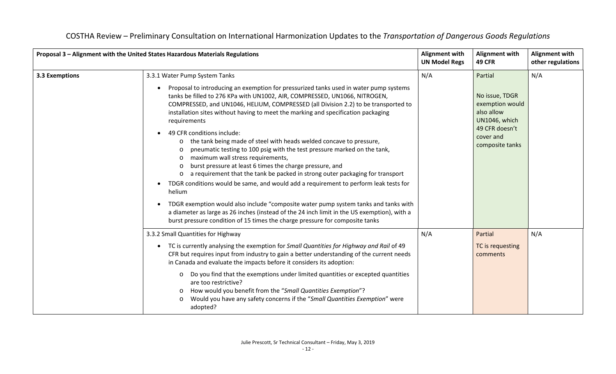|                | Proposal 3 - Alignment with the United States Hazardous Materials Regulations                                                                                                                                                                                                                                                                                                                                                                                                                                                                                                                                                                                                                                                                                                                                                                                                                                                                                                                               | <b>Alignment with</b><br><b>UN Model Regs</b> | <b>Alignment with</b><br><b>49 CFR</b>                                                                                        | <b>Alignment with</b><br>other regulations |
|----------------|-------------------------------------------------------------------------------------------------------------------------------------------------------------------------------------------------------------------------------------------------------------------------------------------------------------------------------------------------------------------------------------------------------------------------------------------------------------------------------------------------------------------------------------------------------------------------------------------------------------------------------------------------------------------------------------------------------------------------------------------------------------------------------------------------------------------------------------------------------------------------------------------------------------------------------------------------------------------------------------------------------------|-----------------------------------------------|-------------------------------------------------------------------------------------------------------------------------------|--------------------------------------------|
| 3.3 Exemptions | 3.3.1 Water Pump System Tanks<br>Proposal to introducing an exemption for pressurized tanks used in water pump systems<br>$\bullet$<br>tanks be filled to 276 KPa with UN1002, AIR, COMPRESSED, UN1066, NITROGEN,<br>COMPRESSED, and UN1046, HELIUM, COMPRESSED (all Division 2.2) to be transported to<br>installation sites without having to meet the marking and specification packaging<br>requirements<br>49 CFR conditions include:<br>the tank being made of steel with heads welded concave to pressure,<br>$\circ$<br>pneumatic testing to 100 psig with the test pressure marked on the tank,<br>$\circ$<br>maximum wall stress requirements,<br>$\circ$<br>burst pressure at least 6 times the charge pressure, and<br>o a requirement that the tank be packed in strong outer packaging for transport<br>TDGR conditions would be same, and would add a requirement to perform leak tests for<br>helium<br>TDGR exemption would also include "composite water pump system tanks and tanks with | N/A                                           | Partial<br>No issue, TDGR<br>exemption would<br>also allow<br>UN1046, which<br>49 CFR doesn't<br>cover and<br>composite tanks | N/A                                        |
|                | a diameter as large as 26 inches (instead of the 24 inch limit in the US exemption), with a<br>burst pressure condition of 15 times the charge pressure for composite tanks                                                                                                                                                                                                                                                                                                                                                                                                                                                                                                                                                                                                                                                                                                                                                                                                                                 |                                               |                                                                                                                               |                                            |
|                | 3.3.2 Small Quantities for Highway<br>TC is currently analysing the exemption for Small Quantities for Highway and Rail of 49<br>CFR but requires input from industry to gain a better understanding of the current needs<br>in Canada and evaluate the impacts before it considers its adoption:<br>Do you find that the exemptions under limited quantities or excepted quantities<br>$\circ$                                                                                                                                                                                                                                                                                                                                                                                                                                                                                                                                                                                                             | N/A                                           | Partial<br>TC is requesting<br>comments                                                                                       | N/A                                        |
|                | are too restrictive?<br>How would you benefit from the "Small Quantities Exemption"?<br>Would you have any safety concerns if the "Small Quantities Exemption" were<br>$\circ$<br>adopted?                                                                                                                                                                                                                                                                                                                                                                                                                                                                                                                                                                                                                                                                                                                                                                                                                  |                                               |                                                                                                                               |                                            |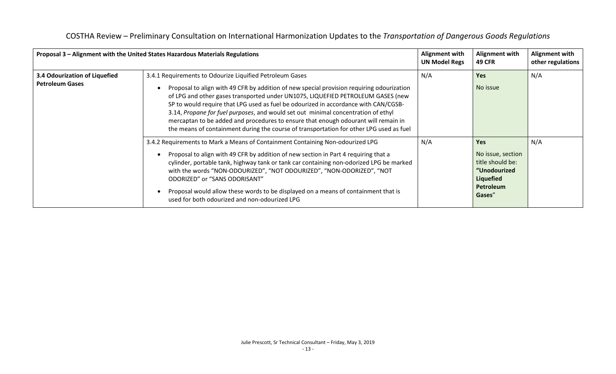| Proposal 3 - Alignment with the United States Hazardous Materials Regulations |                                                                                                                                                                                                                                                                                                                                                                                                                                                                                                                                                                                                       | Alignment with<br><b>UN Model Regs</b> | <b>Alignment with</b><br><b>49 CFR</b>                                                                         | <b>Alignment with</b><br>other regulations |
|-------------------------------------------------------------------------------|-------------------------------------------------------------------------------------------------------------------------------------------------------------------------------------------------------------------------------------------------------------------------------------------------------------------------------------------------------------------------------------------------------------------------------------------------------------------------------------------------------------------------------------------------------------------------------------------------------|----------------------------------------|----------------------------------------------------------------------------------------------------------------|--------------------------------------------|
| 3.4 Odourization of Liquefied<br><b>Petroleum Gases</b>                       | 3.4.1 Requirements to Odourize Liquified Petroleum Gases<br>Proposal to align with 49 CFR by addition of new special provision requiring odourization<br>of LPG and other gases transported under UN1075, LIQUEFIED PETROLEUM GASES (new<br>SP to would require that LPG used as fuel be odourized in accordance with CAN/CGSB-<br>3.14, Propane for fuel purposes, and would set out minimal concentration of ethyl<br>mercaptan to be added and procedures to ensure that enough odourant will remain in<br>the means of containment during the course of transportation for other LPG used as fuel | N/A                                    | <b>Yes</b><br>No issue                                                                                         | N/A                                        |
|                                                                               | 3.4.2 Requirements to Mark a Means of Containment Containing Non-odourized LPG<br>Proposal to align with 49 CFR by addition of new section in Part 4 requiring that a<br>cylinder, portable tank, highway tank or tank car containing non-odorized LPG be marked<br>with the words "NON-ODOURIZED", "NOT ODOURIZED", "NON-ODORIZED", "NOT<br>ODORIZED" or "SANS ODORISANT"<br>Proposal would allow these words to be displayed on a means of containment that is<br>used for both odourized and non-odourized LPG                                                                                     | N/A                                    | <b>Yes</b><br>No issue, section<br>title should be:<br>"Unodourized<br><b>Liquefied</b><br>Petroleum<br>Gases" | N/A                                        |